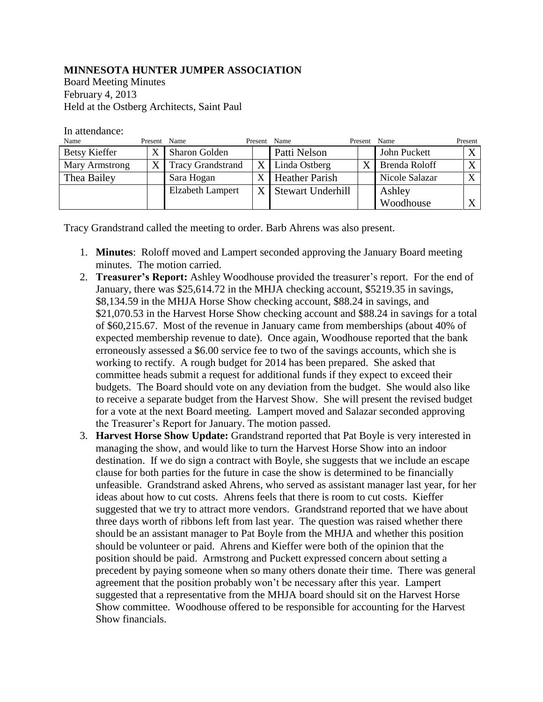## **MINNESOTA HUNTER JUMPER ASSOCIATION**

Board Meeting Minutes February 4, 2013 Held at the Ostberg Architects, Saint Paul

## In attendance:

| Name                 | Present Name   |                          | Present | Name                  | Present | Name           | Present      |
|----------------------|----------------|--------------------------|---------|-----------------------|---------|----------------|--------------|
| <b>Betsy Kieffer</b> |                | <b>Sharon Golden</b>     |         | Patti Nelson          |         | John Puckett   | $\mathbf v$  |
| Mary Armstrong       | $\overline{X}$ | <b>Tracy Grandstrand</b> |         | $X$ Linda Ostberg     | X       | Brenda Roloff  | $\mathbf{v}$ |
| Thea Bailey          |                | Sara Hogan               |         | <b>Heather Parish</b> |         | Nicole Salazar | $\mathbf{v}$ |
|                      |                | <b>Elzabeth Lampert</b>  |         | X Stewart Underhill   |         | Ashley         |              |
|                      |                |                          |         |                       |         | Woodhouse      |              |

Tracy Grandstrand called the meeting to order. Barb Ahrens was also present.

- 1. **Minutes**: Roloff moved and Lampert seconded approving the January Board meeting minutes. The motion carried.
- 2. **Treasurer's Report:** Ashley Woodhouse provided the treasurer's report. For the end of January, there was \$25,614.72 in the MHJA checking account, \$5219.35 in savings, \$8,134.59 in the MHJA Horse Show checking account, \$88.24 in savings, and \$21,070.53 in the Harvest Horse Show checking account and \$88.24 in savings for a total of \$60,215.67. Most of the revenue in January came from memberships (about 40% of expected membership revenue to date). Once again, Woodhouse reported that the bank erroneously assessed a \$6.00 service fee to two of the savings accounts, which she is working to rectify. A rough budget for 2014 has been prepared. She asked that committee heads submit a request for additional funds if they expect to exceed their budgets. The Board should vote on any deviation from the budget. She would also like to receive a separate budget from the Harvest Show. She will present the revised budget for a vote at the next Board meeting. Lampert moved and Salazar seconded approving the Treasurer's Report for January. The motion passed.
- 3. **Harvest Horse Show Update:** Grandstrand reported that Pat Boyle is very interested in managing the show, and would like to turn the Harvest Horse Show into an indoor destination. If we do sign a contract with Boyle, she suggests that we include an escape clause for both parties for the future in case the show is determined to be financially unfeasible. Grandstrand asked Ahrens, who served as assistant manager last year, for her ideas about how to cut costs. Ahrens feels that there is room to cut costs. Kieffer suggested that we try to attract more vendors. Grandstrand reported that we have about three days worth of ribbons left from last year. The question was raised whether there should be an assistant manager to Pat Boyle from the MHJA and whether this position should be volunteer or paid. Ahrens and Kieffer were both of the opinion that the position should be paid. Armstrong and Puckett expressed concern about setting a precedent by paying someone when so many others donate their time. There was general agreement that the position probably won't be necessary after this year. Lampert suggested that a representative from the MHJA board should sit on the Harvest Horse Show committee. Woodhouse offered to be responsible for accounting for the Harvest Show financials.